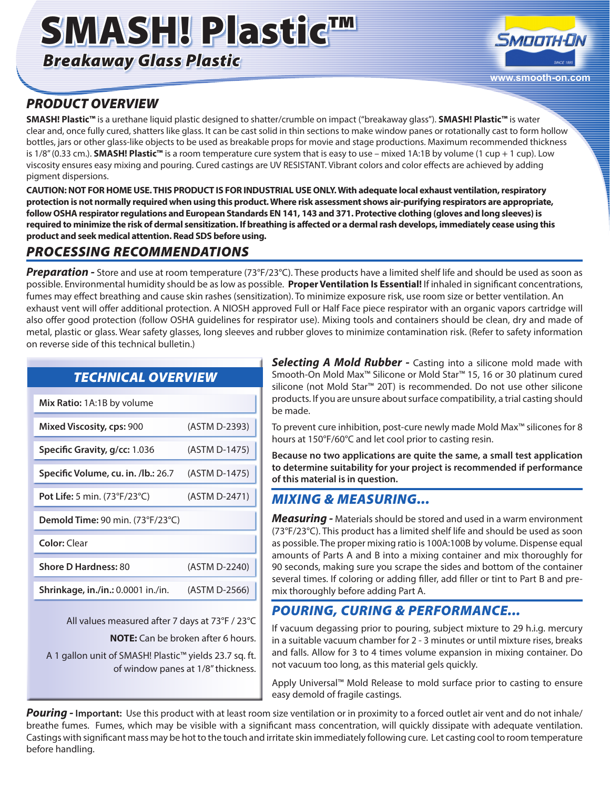# SMASH! Plastic™

*Breakaway Glass Plastic*



# *PRODUCT OVERVIEW*

**SMASH! Plastic™** is a urethane liquid plastic designed to shatter/crumble on impact ("breakaway glass"). **SMASH! Plastic™** is water clear and, once fully cured, shatters like glass. It can be cast solid in thin sections to make window panes or rotationally cast to form hollow bottles, jars or other glass-like objects to be used as breakable props for movie and stage productions. Maximum recommended thickness is 1/8" (0.33 cm.). **SMASH! Plastic™** is a room temperature cure system that is easy to use – mixed 1A:1B by volume (1 cup + 1 cup). Low viscosity ensures easy mixing and pouring. Cured castings are UV RESISTANT. Vibrant colors and color effects are achieved by adding pigment dispersions.

**CAUTION: NOT FOR HOME USE. THIS PRODUCT IS FOR INDUSTRIAL USE ONLY. With adequate local exhaust ventilation, respiratory protection is not normally required when using this product. Where risk assessment shows air-purifying respirators are appropriate, follow OSHA respirator regulations and European Standards EN 141, 143 and 371. Protective clothing (gloves and long sleeves) is required to minimize the risk of dermal sensitization. If breathing is affected or a dermal rash develops, immediately cease using this product and seek medical attention. Read SDS before using.**

## *PROCESSING RECOMMENDATIONS*

*Preparation -* Store and use at room temperature (73°F/23°C). These products have a limited shelf life and should be used as soon as possible. Environmental humidity should be as low as possible. **Proper Ventilation Is Essential!** If inhaled in significant concentrations, fumes may effect breathing and cause skin rashes (sensitization). To minimize exposure risk, use room size or better ventilation. An exhaust vent will offer additional protection. A NIOSH approved Full or Half Face piece respirator with an organic vapors cartridge will also offer good protection (follow OSHA guidelines for respirator use). Mixing tools and containers should be clean, dry and made of metal, plastic or glass. Wear safety glasses, long sleeves and rubber gloves to minimize contamination risk. (Refer to safety information on reverse side of this technical bulletin.)

| <b>TECHNICAL OVERVIEW</b>                                                                                                                                                                    |               | Smooth-On Mo<br>silicone (not Mo                                          |
|----------------------------------------------------------------------------------------------------------------------------------------------------------------------------------------------|---------------|---------------------------------------------------------------------------|
| Mix Ratio: 1A:1B by volume                                                                                                                                                                   |               | products. If you<br>be made.                                              |
| Mixed Viscosity, cps: 900                                                                                                                                                                    | (ASTM D-2393) | To prevent cure<br>hours at 150°F/6                                       |
| Specific Gravity, g/cc: 1.036                                                                                                                                                                | (ASTM D-1475) | <b>Because no two</b><br>to determine su<br>of this material              |
| Specific Volume, cu. in. /lb.: 26.7                                                                                                                                                          | (ASTM D-1475) |                                                                           |
| Pot Life: 5 min. (73°F/23°C)                                                                                                                                                                 | (ASTM D-2471) | <b>MIXING &amp;</b>                                                       |
| Demold Time: 90 min. (73°F/23°C)                                                                                                                                                             |               | Measuring - I<br>(73°F/23°C). This<br>as possible. The<br>amounts of Par  |
| <b>Color: Clear</b>                                                                                                                                                                          |               |                                                                           |
| <b>Shore D Hardness: 80</b>                                                                                                                                                                  | (ASTM D-2240) | 90 seconds, ma<br>several times. If<br>mix thoroughly                     |
| Shrinkage, in./in.: 0.0001 in./in.                                                                                                                                                           | (ASTM D-2566) |                                                                           |
|                                                                                                                                                                                              |               | <b>POURING,</b>                                                           |
| All values measured after 7 days at 73°F / 23°C<br><b>NOTE:</b> Can be broken after 6 hours.<br>A 1 gallon unit of SMASH! Plastic™ yields 23.7 sq. ft.<br>of window panes at 1/8" thickness. |               | If vacuum dega<br>in a suitable vac<br>and falls. Allow<br>not vacuum too |

**Selecting A Mold Rubber -** Casting into a silicone mold made with ld Max™ Silicone or Mold Star™ 15, 16 or 30 platinum cured old Star™ 20T) is recommended. Do not use other silicone are unsure about surface compatibility, a trial casting should

inhibition, post-cure newly made Mold Max™ silicones for 8  $60^{\circ}$ C and let cool prior to casting resin.

**Bequiliber 1** applications are quite the same, a small test application **to determine suitability for your project is recommended if performance is in question.** 

### *MIXING & MEASURING...*

Materials should be stored and used in a warm environment s product has a limited shelf life and should be used as soon proper mixing ratio is 100A:100B by volume. Dispense equal ts A and B into a mixing container and mix thoroughly for king sure you scrape the sides and bottom of the container coloring or adding filler, add filler or tint to Part B and prebefore adding Part A.

# **CURING & PERFORMANCE...**

ssing prior to pouring, subject mixture to 29 h.i.g. mercury uum chamber for 2 - 3 minutes or until mixture rises, breaks for 3 to 4 times volume expansion in mixing container. Do long, as this material gels quickly.

Apply Universal™ Mold Release to mold surface prior to casting to ensure easy demold of fragile castings.

**Pouring - Important:** Use this product with at least room size ventilation or in proximity to a forced outlet air vent and do not inhale/ breathe fumes. Fumes, which may be visible with a significant mass concentration, will quickly dissipate with adequate ventilation. Castings with significant mass may be hot to the touch and irritate skin immediately following cure. Let casting cool to room temperature before handling.